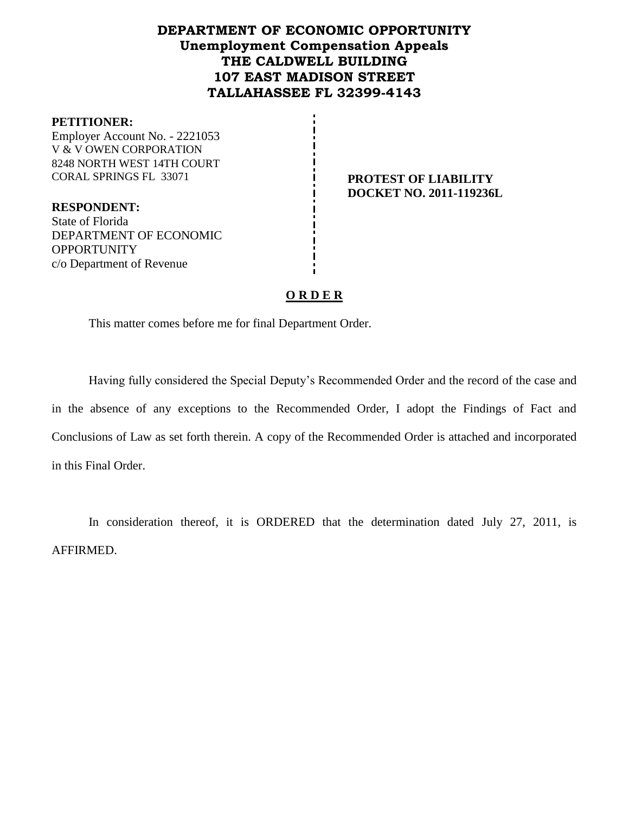# **DEPARTMENT OF ECONOMIC OPPORTUNITY Unemployment Compensation Appeals THE CALDWELL BUILDING 107 EAST MADISON STREET TALLAHASSEE FL 32399-4143**

#### **PETITIONER:**

Employer Account No. - 2221053 V & V OWEN CORPORATION 8248 NORTH WEST 14TH COURT CORAL SPRINGS FL 33071 **PROTEST OF LIABILITY**

**DOCKET NO. 2011-119236L**

**RESPONDENT:** State of Florida DEPARTMENT OF ECONOMIC **OPPORTUNITY** c/o Department of Revenue

## **O R D E R**

This matter comes before me for final Department Order.

Having fully considered the Special Deputy's Recommended Order and the record of the case and in the absence of any exceptions to the Recommended Order, I adopt the Findings of Fact and Conclusions of Law as set forth therein. A copy of the Recommended Order is attached and incorporated in this Final Order.

In consideration thereof, it is ORDERED that the determination dated July 27, 2011, is AFFIRMED.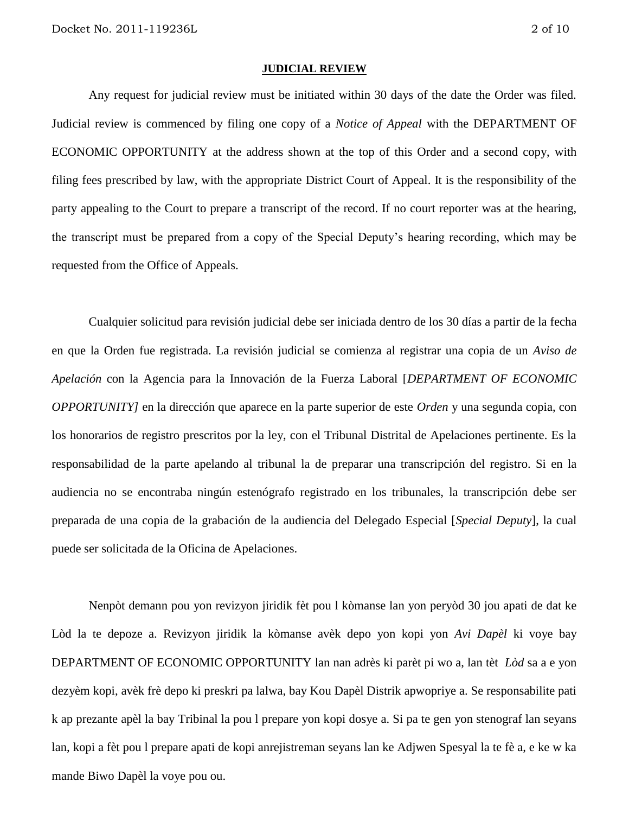#### **JUDICIAL REVIEW**

Any request for judicial review must be initiated within 30 days of the date the Order was filed. Judicial review is commenced by filing one copy of a *Notice of Appeal* with the DEPARTMENT OF ECONOMIC OPPORTUNITY at the address shown at the top of this Order and a second copy, with filing fees prescribed by law, with the appropriate District Court of Appeal. It is the responsibility of the party appealing to the Court to prepare a transcript of the record. If no court reporter was at the hearing, the transcript must be prepared from a copy of the Special Deputy's hearing recording, which may be requested from the Office of Appeals.

Cualquier solicitud para revisión judicial debe ser iniciada dentro de los 30 días a partir de la fecha en que la Orden fue registrada. La revisión judicial se comienza al registrar una copia de un *Aviso de Apelación* con la Agencia para la Innovación de la Fuerza Laboral [*DEPARTMENT OF ECONOMIC OPPORTUNITY]* en la dirección que aparece en la parte superior de este *Orden* y una segunda copia, con los honorarios de registro prescritos por la ley, con el Tribunal Distrital de Apelaciones pertinente. Es la responsabilidad de la parte apelando al tribunal la de preparar una transcripción del registro. Si en la audiencia no se encontraba ningún estenógrafo registrado en los tribunales, la transcripción debe ser preparada de una copia de la grabación de la audiencia del Delegado Especial [*Special Deputy*], la cual puede ser solicitada de la Oficina de Apelaciones.

Nenpòt demann pou yon revizyon jiridik fèt pou l kòmanse lan yon peryòd 30 jou apati de dat ke Lòd la te depoze a. Revizyon jiridik la kòmanse avèk depo yon kopi yon *Avi Dapèl* ki voye bay DEPARTMENT OF ECONOMIC OPPORTUNITY lan nan adrès ki parèt pi wo a, lan tèt *Lòd* sa a e yon dezyèm kopi, avèk frè depo ki preskri pa lalwa, bay Kou Dapèl Distrik apwopriye a. Se responsabilite pati k ap prezante apèl la bay Tribinal la pou l prepare yon kopi dosye a. Si pa te gen yon stenograf lan seyans lan, kopi a fèt pou l prepare apati de kopi anrejistreman seyans lan ke Adjwen Spesyal la te fè a, e ke w ka mande Biwo Dapèl la voye pou ou.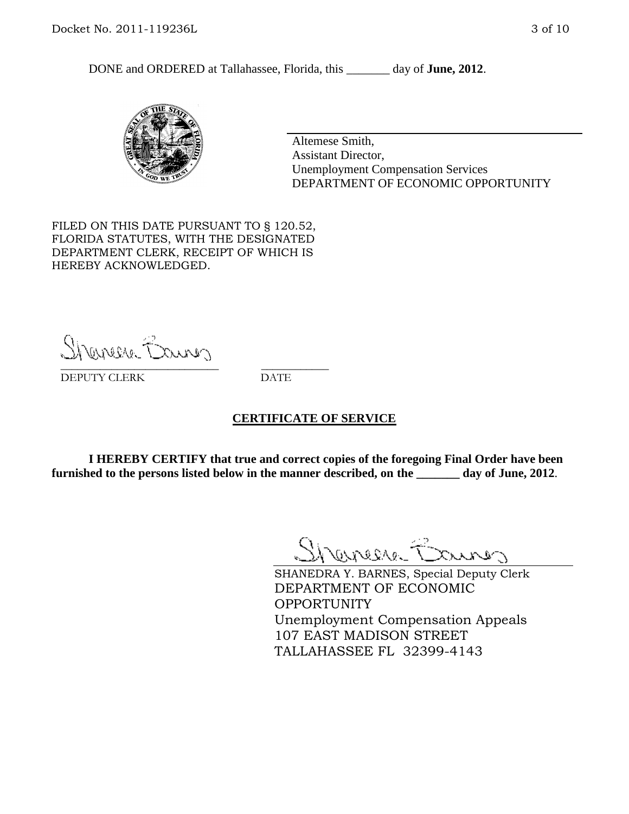DONE and ORDERED at Tallahassee, Florida, this day of **June, 2012**.



Altemese Smith, Assistant Director, Unemployment Compensation Services DEPARTMENT OF ECONOMIC OPPORTUNITY

FILED ON THIS DATE PURSUANT TO § 120.52, FLORIDA STATUTES, WITH THE DESIGNATED DEPARTMENT CLERK, RECEIPT OF WHICH IS HEREBY ACKNOWLEDGED.

Shenesse Bainer \_\_\_\_\_\_\_\_\_\_\_\_\_\_\_\_\_\_\_\_\_\_\_\_\_\_\_\_ \_\_\_\_\_\_\_\_\_\_\_\_

DEPUTY CLERK DATE

#### **CERTIFICATE OF SERVICE**

**I HEREBY CERTIFY that true and correct copies of the foregoing Final Order have been furnished to the persons listed below in the manner described, on the \_\_\_\_\_\_\_ day of June, 2012**.

Shaner Barnes

SHANEDRA Y. BARNES, Special Deputy Clerk DEPARTMENT OF ECONOMIC OPPORTUNITY Unemployment Compensation Appeals 107 EAST MADISON STREET TALLAHASSEE FL 32399-4143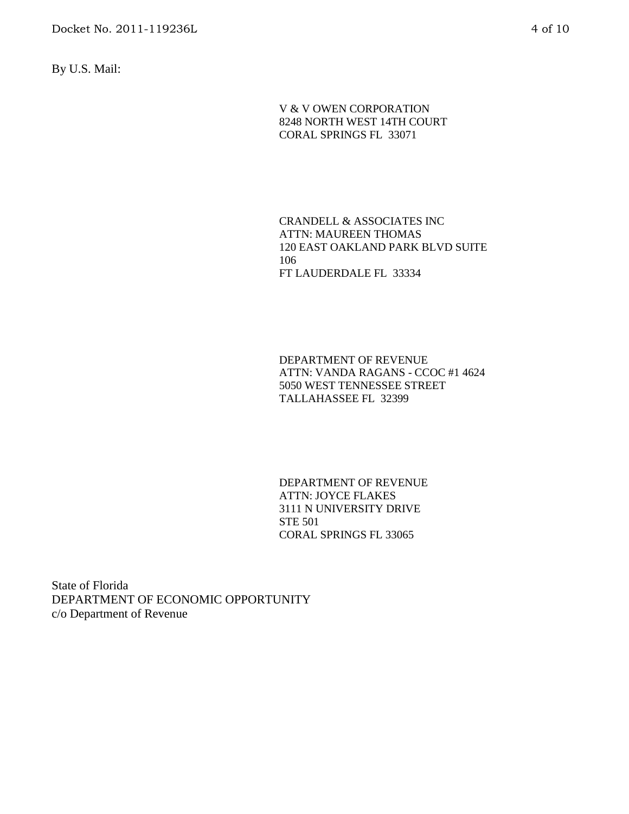By U.S. Mail:

V & V OWEN CORPORATION 8248 NORTH WEST 14TH COURT CORAL SPRINGS FL 33071

CRANDELL & ASSOCIATES INC ATTN: MAUREEN THOMAS 120 EAST OAKLAND PARK BLVD SUITE 106 FT LAUDERDALE FL 33334

DEPARTMENT OF REVENUE ATTN: VANDA RAGANS - CCOC #1 4624 5050 WEST TENNESSEE STREET TALLAHASSEE FL 32399

DEPARTMENT OF REVENUE ATTN: JOYCE FLAKES 3111 N UNIVERSITY DRIVE STE 501 CORAL SPRINGS FL 33065

State of Florida DEPARTMENT OF ECONOMIC OPPORTUNITY c/o Department of Revenue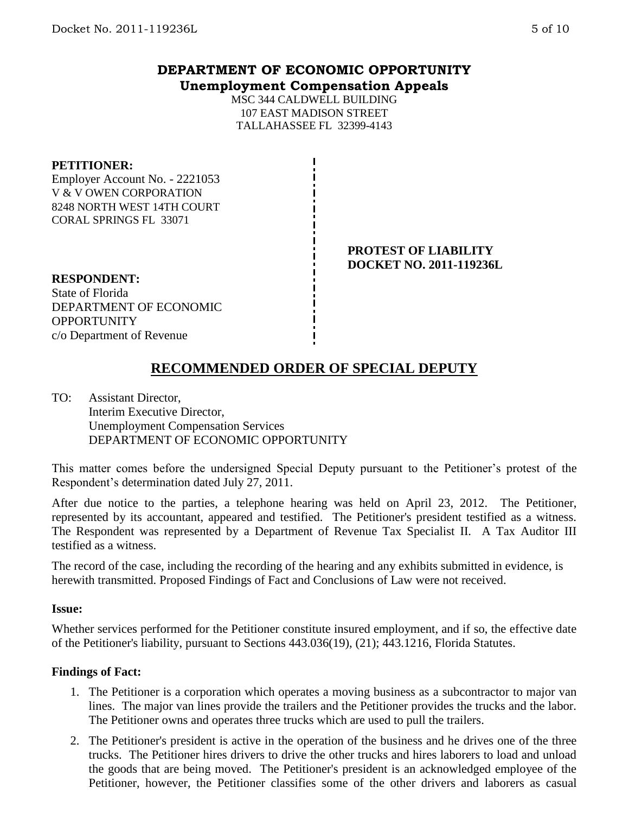## **DEPARTMENT OF ECONOMIC OPPORTUNITY Unemployment Compensation Appeals**

MSC 344 CALDWELL BUILDING 107 EAST MADISON STREET TALLAHASSEE FL 32399-4143

#### **PETITIONER:**

Employer Account No. - 2221053 V & V OWEN CORPORATION 8248 NORTH WEST 14TH COURT CORAL SPRINGS FL 33071

### **PROTEST OF LIABILITY DOCKET NO. 2011-119236L**

**RESPONDENT:** State of Florida DEPARTMENT OF ECONOMIC **OPPORTUNITY** c/o Department of Revenue

# **RECOMMENDED ORDER OF SPECIAL DEPUTY**

TO: Assistant Director, Interim Executive Director, Unemployment Compensation Services DEPARTMENT OF ECONOMIC OPPORTUNITY

This matter comes before the undersigned Special Deputy pursuant to the Petitioner's protest of the Respondent's determination dated July 27, 2011.

After due notice to the parties, a telephone hearing was held on April 23, 2012. The Petitioner, represented by its accountant, appeared and testified. The Petitioner's president testified as a witness. The Respondent was represented by a Department of Revenue Tax Specialist II. A Tax Auditor III testified as a witness.

The record of the case, including the recording of the hearing and any exhibits submitted in evidence, is herewith transmitted. Proposed Findings of Fact and Conclusions of Law were not received.

#### **Issue:**

Whether services performed for the Petitioner constitute insured employment, and if so, the effective date of the Petitioner's liability, pursuant to Sections 443.036(19), (21); 443.1216, Florida Statutes.

#### **Findings of Fact:**

- 1. The Petitioner is a corporation which operates a moving business as a subcontractor to major van lines. The major van lines provide the trailers and the Petitioner provides the trucks and the labor. The Petitioner owns and operates three trucks which are used to pull the trailers.
- 2. The Petitioner's president is active in the operation of the business and he drives one of the three trucks. The Petitioner hires drivers to drive the other trucks and hires laborers to load and unload the goods that are being moved. The Petitioner's president is an acknowledged employee of the Petitioner, however, the Petitioner classifies some of the other drivers and laborers as casual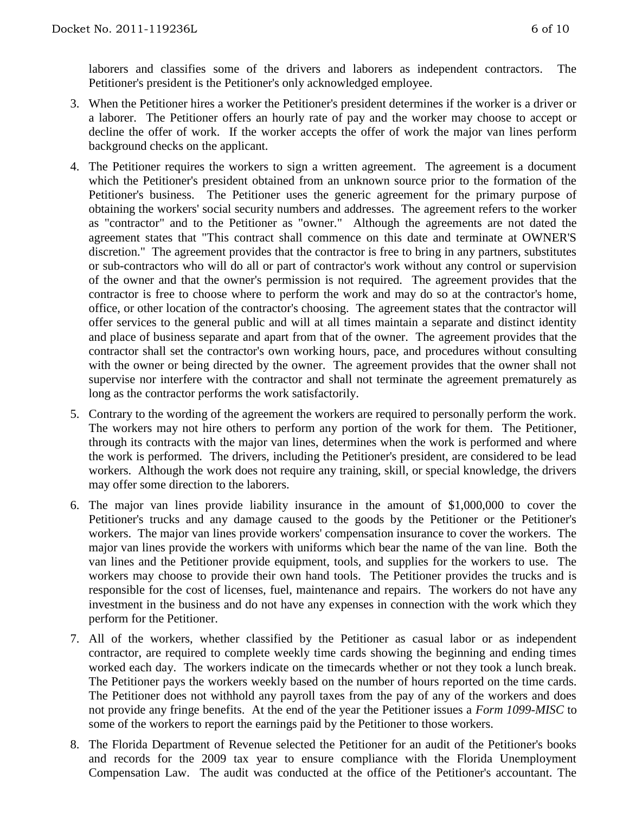laborers and classifies some of the drivers and laborers as independent contractors. The Petitioner's president is the Petitioner's only acknowledged employee.

- 3. When the Petitioner hires a worker the Petitioner's president determines if the worker is a driver or a laborer. The Petitioner offers an hourly rate of pay and the worker may choose to accept or decline the offer of work. If the worker accepts the offer of work the major van lines perform background checks on the applicant.
- 4. The Petitioner requires the workers to sign a written agreement. The agreement is a document which the Petitioner's president obtained from an unknown source prior to the formation of the Petitioner's business. The Petitioner uses the generic agreement for the primary purpose of obtaining the workers' social security numbers and addresses. The agreement refers to the worker as "contractor" and to the Petitioner as "owner." Although the agreements are not dated the agreement states that "This contract shall commence on this date and terminate at OWNER'S discretion." The agreement provides that the contractor is free to bring in any partners, substitutes or sub-contractors who will do all or part of contractor's work without any control or supervision of the owner and that the owner's permission is not required. The agreement provides that the contractor is free to choose where to perform the work and may do so at the contractor's home, office, or other location of the contractor's choosing. The agreement states that the contractor will offer services to the general public and will at all times maintain a separate and distinct identity and place of business separate and apart from that of the owner. The agreement provides that the contractor shall set the contractor's own working hours, pace, and procedures without consulting with the owner or being directed by the owner. The agreement provides that the owner shall not supervise nor interfere with the contractor and shall not terminate the agreement prematurely as long as the contractor performs the work satisfactorily.
- 5. Contrary to the wording of the agreement the workers are required to personally perform the work. The workers may not hire others to perform any portion of the work for them. The Petitioner, through its contracts with the major van lines, determines when the work is performed and where the work is performed. The drivers, including the Petitioner's president, are considered to be lead workers. Although the work does not require any training, skill, or special knowledge, the drivers may offer some direction to the laborers.
- 6. The major van lines provide liability insurance in the amount of \$1,000,000 to cover the Petitioner's trucks and any damage caused to the goods by the Petitioner or the Petitioner's workers. The major van lines provide workers' compensation insurance to cover the workers. The major van lines provide the workers with uniforms which bear the name of the van line. Both the van lines and the Petitioner provide equipment, tools, and supplies for the workers to use. The workers may choose to provide their own hand tools. The Petitioner provides the trucks and is responsible for the cost of licenses, fuel, maintenance and repairs. The workers do not have any investment in the business and do not have any expenses in connection with the work which they perform for the Petitioner.
- 7. All of the workers, whether classified by the Petitioner as casual labor or as independent contractor, are required to complete weekly time cards showing the beginning and ending times worked each day. The workers indicate on the timecards whether or not they took a lunch break. The Petitioner pays the workers weekly based on the number of hours reported on the time cards. The Petitioner does not withhold any payroll taxes from the pay of any of the workers and does not provide any fringe benefits. At the end of the year the Petitioner issues a *Form 1099-MISC* to some of the workers to report the earnings paid by the Petitioner to those workers.
- 8. The Florida Department of Revenue selected the Petitioner for an audit of the Petitioner's books and records for the 2009 tax year to ensure compliance with the Florida Unemployment Compensation Law. The audit was conducted at the office of the Petitioner's accountant. The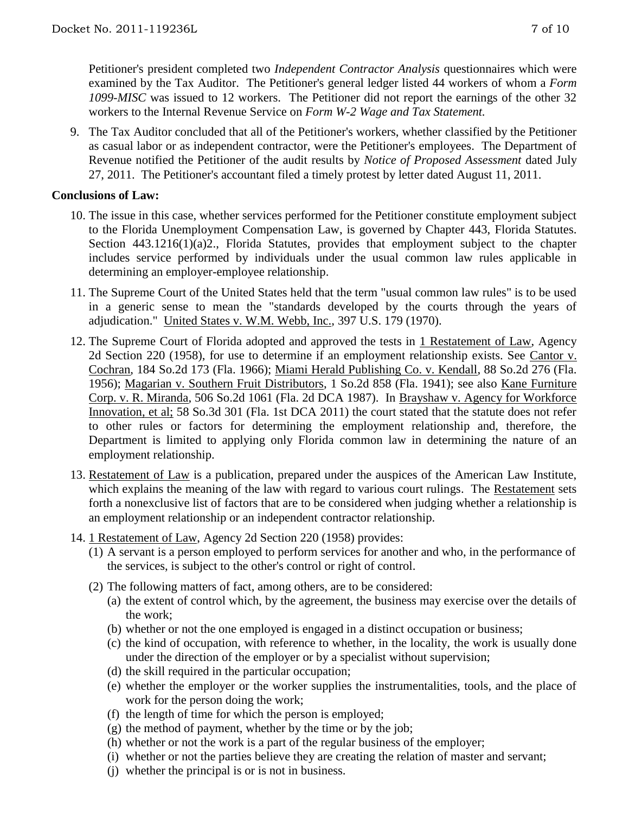9. The Tax Auditor concluded that all of the Petitioner's workers, whether classified by the Petitioner as casual labor or as independent contractor, were the Petitioner's employees. The Department of Revenue notified the Petitioner of the audit results by *Notice of Proposed Assessment* dated July 27, 2011. The Petitioner's accountant filed a timely protest by letter dated August 11, 2011.

## **Conclusions of Law:**

- 10. The issue in this case, whether services performed for the Petitioner constitute employment subject to the Florida Unemployment Compensation Law, is governed by Chapter 443, Florida Statutes. Section 443.1216(1)(a)2., Florida Statutes, provides that employment subject to the chapter includes service performed by individuals under the usual common law rules applicable in determining an employer-employee relationship.
- 11. The Supreme Court of the United States held that the term "usual common law rules" is to be used in a generic sense to mean the "standards developed by the courts through the years of adjudication." United States v. W.M. Webb, Inc., 397 U.S. 179 (1970).
- 12. The Supreme Court of Florida adopted and approved the tests in 1 Restatement of Law, Agency 2d Section 220 (1958), for use to determine if an employment relationship exists. See Cantor v. Cochran, 184 So.2d 173 (Fla. 1966); Miami Herald Publishing Co. v. Kendall, 88 So.2d 276 (Fla. 1956); Magarian v. Southern Fruit Distributors, 1 So.2d 858 (Fla. 1941); see also Kane Furniture Corp. v. R. Miranda, 506 So.2d 1061 (Fla. 2d DCA 1987). In Brayshaw v. Agency for Workforce Innovation, et al; 58 So.3d 301 (Fla. 1st DCA 2011) the court stated that the statute does not refer to other rules or factors for determining the employment relationship and, therefore, the Department is limited to applying only Florida common law in determining the nature of an employment relationship.
- 13. Restatement of Law is a publication, prepared under the auspices of the American Law Institute, which explains the meaning of the law with regard to various court rulings. The Restatement sets forth a nonexclusive list of factors that are to be considered when judging whether a relationship is an employment relationship or an independent contractor relationship.
- 14. 1 Restatement of Law, Agency 2d Section 220 (1958) provides:
	- (1) A servant is a person employed to perform services for another and who, in the performance of the services, is subject to the other's control or right of control.
	- (2) The following matters of fact, among others, are to be considered:
		- (a) the extent of control which, by the agreement, the business may exercise over the details of the work;
		- (b) whether or not the one employed is engaged in a distinct occupation or business;
		- (c) the kind of occupation, with reference to whether, in the locality, the work is usually done under the direction of the employer or by a specialist without supervision;
		- (d) the skill required in the particular occupation;
		- (e) whether the employer or the worker supplies the instrumentalities, tools, and the place of work for the person doing the work;
		- (f) the length of time for which the person is employed;
		- (g) the method of payment, whether by the time or by the job;
		- (h) whether or not the work is a part of the regular business of the employer;
		- (i) whether or not the parties believe they are creating the relation of master and servant;
		- (j) whether the principal is or is not in business.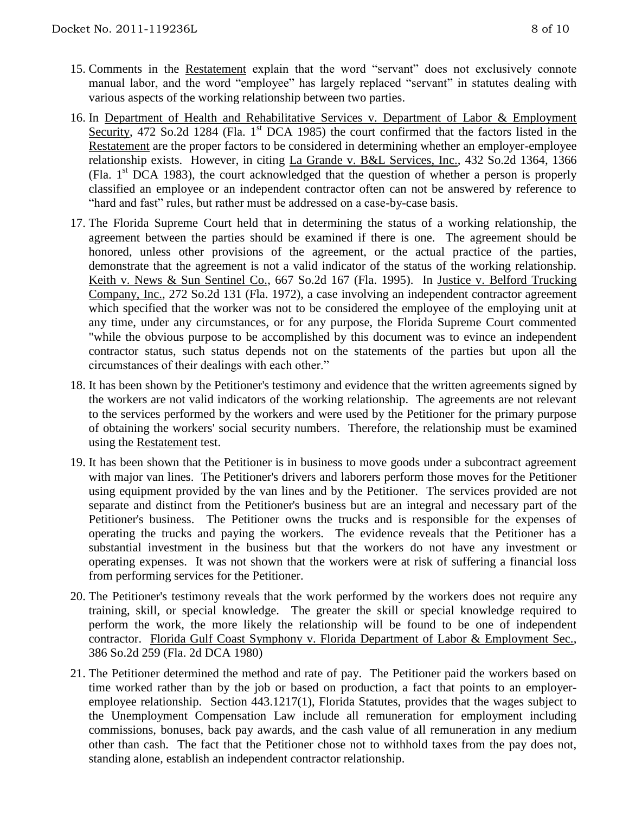- 15. Comments in the Restatement explain that the word "servant" does not exclusively connote manual labor, and the word "employee" has largely replaced "servant" in statutes dealing with various aspects of the working relationship between two parties.
- 16. In Department of Health and Rehabilitative Services v. Department of Labor & Employment Security, 472 So.2d 1284 (Fla. 1<sup>st</sup> DCA 1985) the court confirmed that the factors listed in the Restatement are the proper factors to be considered in determining whether an employer-employee relationship exists. However, in citing La Grande v. B&L Services, Inc., 432 So.2d 1364, 1366 (Fla.  $1<sup>st</sup>$  DCA 1983), the court acknowledged that the question of whether a person is properly classified an employee or an independent contractor often can not be answered by reference to "hard and fast" rules, but rather must be addressed on a case-by-case basis.
- 17. The Florida Supreme Court held that in determining the status of a working relationship, the agreement between the parties should be examined if there is one. The agreement should be honored, unless other provisions of the agreement, or the actual practice of the parties, demonstrate that the agreement is not a valid indicator of the status of the working relationship. Keith v. News & Sun Sentinel Co., 667 So.2d 167 (Fla. 1995). In Justice v. Belford Trucking Company, Inc., 272 So.2d 131 (Fla. 1972), a case involving an independent contractor agreement which specified that the worker was not to be considered the employee of the employing unit at any time, under any circumstances, or for any purpose, the Florida Supreme Court commented "while the obvious purpose to be accomplished by this document was to evince an independent contractor status, such status depends not on the statements of the parties but upon all the circumstances of their dealings with each other."
- 18. It has been shown by the Petitioner's testimony and evidence that the written agreements signed by the workers are not valid indicators of the working relationship. The agreements are not relevant to the services performed by the workers and were used by the Petitioner for the primary purpose of obtaining the workers' social security numbers. Therefore, the relationship must be examined using the Restatement test.
- 19. It has been shown that the Petitioner is in business to move goods under a subcontract agreement with major van lines. The Petitioner's drivers and laborers perform those moves for the Petitioner using equipment provided by the van lines and by the Petitioner. The services provided are not separate and distinct from the Petitioner's business but are an integral and necessary part of the Petitioner's business. The Petitioner owns the trucks and is responsible for the expenses of operating the trucks and paying the workers. The evidence reveals that the Petitioner has a substantial investment in the business but that the workers do not have any investment or operating expenses. It was not shown that the workers were at risk of suffering a financial loss from performing services for the Petitioner.
- 20. The Petitioner's testimony reveals that the work performed by the workers does not require any training, skill, or special knowledge. The greater the skill or special knowledge required to perform the work, the more likely the relationship will be found to be one of independent contractor. Florida Gulf Coast Symphony v. Florida Department of Labor & Employment Sec., 386 So.2d 259 (Fla. 2d DCA 1980)
- 21. The Petitioner determined the method and rate of pay. The Petitioner paid the workers based on time worked rather than by the job or based on production, a fact that points to an employeremployee relationship. Section 443.1217(1), Florida Statutes, provides that the wages subject to the Unemployment Compensation Law include all remuneration for employment including commissions, bonuses, back pay awards, and the cash value of all remuneration in any medium other than cash. The fact that the Petitioner chose not to withhold taxes from the pay does not, standing alone, establish an independent contractor relationship.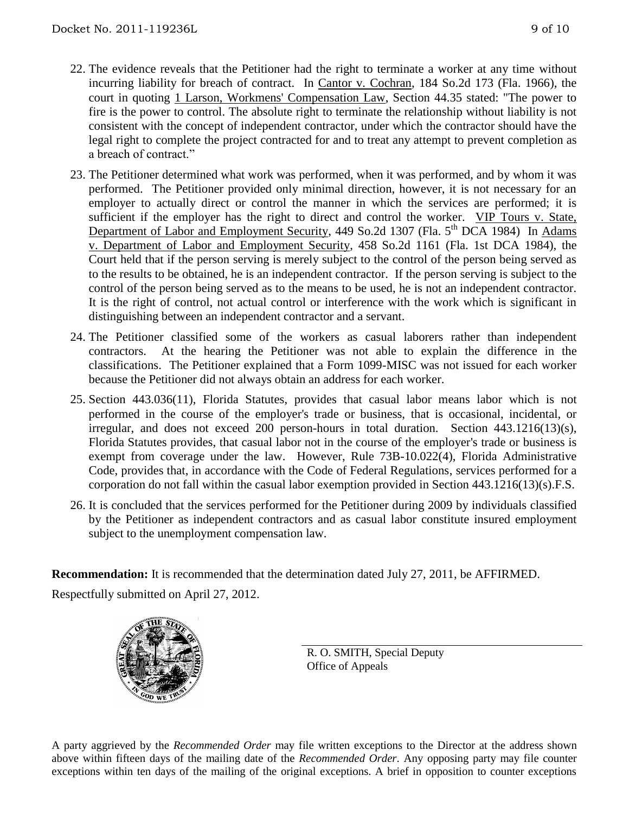- 22. The evidence reveals that the Petitioner had the right to terminate a worker at any time without incurring liability for breach of contract. In Cantor v. Cochran, 184 So.2d 173 (Fla. 1966), the court in quoting 1 Larson, Workmens' Compensation Law, Section 44.35 stated: "The power to fire is the power to control. The absolute right to terminate the relationship without liability is not consistent with the concept of independent contractor, under which the contractor should have the legal right to complete the project contracted for and to treat any attempt to prevent completion as a breach of contract."
- 23. The Petitioner determined what work was performed, when it was performed, and by whom it was performed. The Petitioner provided only minimal direction, however, it is not necessary for an employer to actually direct or control the manner in which the services are performed; it is sufficient if the employer has the right to direct and control the worker. VIP Tours v. State, Department of Labor and Employment Security, 449 So.2d 1307 (Fla. 5<sup>th</sup> DCA 1984) In Adams v. Department of Labor and Employment Security, 458 So.2d 1161 (Fla. 1st DCA 1984), the Court held that if the person serving is merely subject to the control of the person being served as to the results to be obtained, he is an independent contractor. If the person serving is subject to the control of the person being served as to the means to be used, he is not an independent contractor. It is the right of control, not actual control or interference with the work which is significant in distinguishing between an independent contractor and a servant.
- 24. The Petitioner classified some of the workers as casual laborers rather than independent contractors. At the hearing the Petitioner was not able to explain the difference in the classifications. The Petitioner explained that a Form 1099-MISC was not issued for each worker because the Petitioner did not always obtain an address for each worker.
- 25. Section 443.036(11), Florida Statutes, provides that casual labor means labor which is not performed in the course of the employer's trade or business, that is occasional, incidental, or irregular, and does not exceed 200 person-hours in total duration. Section 443.1216(13)(s), Florida Statutes provides, that casual labor not in the course of the employer's trade or business is exempt from coverage under the law. However, Rule 73B-10.022(4), Florida Administrative Code, provides that, in accordance with the Code of Federal Regulations, services performed for a corporation do not fall within the casual labor exemption provided in Section 443.1216(13)(s).F.S.
- 26. It is concluded that the services performed for the Petitioner during 2009 by individuals classified by the Petitioner as independent contractors and as casual labor constitute insured employment subject to the unemployment compensation law.

**Recommendation:** It is recommended that the determination dated July 27, 2011, be AFFIRMED. Respectfully submitted on April 27, 2012.



R. O. SMITH, Special Deputy Office of Appeals

A party aggrieved by the *Recommended Order* may file written exceptions to the Director at the address shown above within fifteen days of the mailing date of the *Recommended Order*. Any opposing party may file counter exceptions within ten days of the mailing of the original exceptions. A brief in opposition to counter exceptions